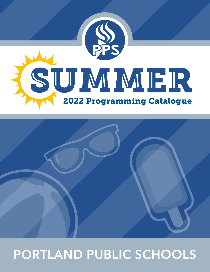



# **PORTLAND PUBLIC SCHOOLS**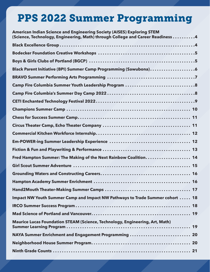# PPS 2022 Summer Programming

| <b>American Indian Science and Engineering Society (AISES) Exploring STEM</b><br>(Science, Technology, Engineering, Math) through College and Career Readiness 4 |
|------------------------------------------------------------------------------------------------------------------------------------------------------------------|
|                                                                                                                                                                  |
|                                                                                                                                                                  |
|                                                                                                                                                                  |
| Black Parent Initiative (BPI) Summer Camp Programming (Sawubona)6                                                                                                |
|                                                                                                                                                                  |
|                                                                                                                                                                  |
|                                                                                                                                                                  |
|                                                                                                                                                                  |
|                                                                                                                                                                  |
|                                                                                                                                                                  |
|                                                                                                                                                                  |
|                                                                                                                                                                  |
|                                                                                                                                                                  |
|                                                                                                                                                                  |
| Fred Hampton Summer: The Making of the Next Rainbow Coalition 14                                                                                                 |
|                                                                                                                                                                  |
|                                                                                                                                                                  |
|                                                                                                                                                                  |
|                                                                                                                                                                  |
| Impact NW Youth Summer Camp and Impact NW Pathways to Trade Summer cohort  18                                                                                    |
|                                                                                                                                                                  |
|                                                                                                                                                                  |
| Maurice Lucas Foundation STEAM (Science, Technology, Engineering, Art, Math)                                                                                     |
| NAYA Summer Enrichment and Engagement Programming  20                                                                                                            |
|                                                                                                                                                                  |
|                                                                                                                                                                  |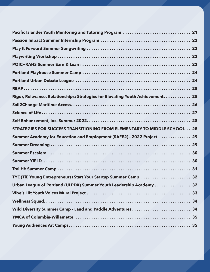| Pacific Islander Youth Mentoring and Tutoring Program  21                       |  |
|---------------------------------------------------------------------------------|--|
|                                                                                 |  |
|                                                                                 |  |
|                                                                                 |  |
|                                                                                 |  |
|                                                                                 |  |
|                                                                                 |  |
|                                                                                 |  |
| Rigor, Relevance, Relationships: Strategies for Elevating Youth Achievement 25  |  |
|                                                                                 |  |
|                                                                                 |  |
|                                                                                 |  |
| <b>STRATEGIES FOR SUCCESS TRANSITIONING FROM ELEMENTARY TO MIDDLE SCHOOL 28</b> |  |
| Summer Academy for Education and Employment (SAFE2) - 2022 Project  29          |  |
|                                                                                 |  |
|                                                                                 |  |
|                                                                                 |  |
|                                                                                 |  |
| TYE (TiE Young Entrepreneurs) Start Your Startup Summer Camp  32                |  |
| Urban League of Portland (ULPDX) Summer Youth Leadership Academy  32            |  |
|                                                                                 |  |
|                                                                                 |  |
| Wild Diversity Summer Camp - Land and Paddle Adventures 34                      |  |
|                                                                                 |  |
|                                                                                 |  |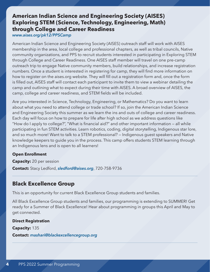### <span id="page-3-0"></span>**American Indian Science and Engineering Society (AISES) Exploring STEM (Science, Technology, Engineering, Math) through College and Career Readiness**

*[www.aises.org/pk12/PPSCamp](http://www.aises.org/pk12/PPSCamp)*

American Indian Science and Engineering Society (AISES) outreach staff will work with AISES membership in the area, local college and professional chapters, as well as tribal councils, Native community organizations, and PPS to recruit students interested in participating in Exploring STEM through College and Career Readiness. One AISES staff member will travel on one pre-camp outreach trip to engage Native community members, build relationships, and increase registration numbers. Once a student is interested in registering for camp, they will find more information on how to register on the aises.org website. They will fill out a registration form and, once the form is filled out, AISES staff will contact each participant to invite them to view a webinar detailing the camp and outlining what to expect during their time with AISES. A broad overview of AISES, the camp, college and career readiness, and STEM fields will be included.

Are you interested in Science, Technology, Engineering, or Mathematics? Do you want to learn about what you need to attend college or trade school? If so, join the American Indian Science and Engineering Society this summer as we learn the ins and outs of college and career readiness. Each day will focus on how to prepare for life after high school as we address questions like "How do I apply to college?", "What is financial aid?" and other important information — all while participating in fun STEM activities. Learn robotics, coding, digital storytelling, Indigenous star lore, and so much more! Want to talk to a STEM professional? — Indigenous guest speakers and Native knowledge keepers to guide you in the process. This camp offers students STEM learning through an Indigenous lens and is open to all learners!

#### **Open Enrollment**

**Capacity:** 20 per session **Contact:** Stacy Ledford, *[sledford@aises.org](mailto:sledford%40aises.org?subject=)*, 720-758-9736

### **Black Excellence Group**

This is an opportunity for current Black Excellence Group students and families.

All Black Excellence Group students and families, our programming is extending to SUMMER! Get ready for a Summer of Black Excellence! Hear about programming in groups this April and May to get connected.

**Direct Registration Capacity:** 135

**Contact:** *[mashari@blackexcellencegroup.org](mailto:mashari%40blackexcellencegroup.org?subject=)*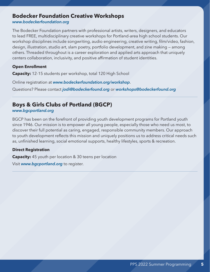### <span id="page-4-0"></span>**Bodecker Foundation Creative Workshops**

*[www.bodeckerfoundation.org](http://www.bodeckerfoundation.org)*

The Bodecker Foundation partners with professional artists, writers, designers, and educators to lead FREE, multidisciplinary creative workshops for Portland-area high school students. Our workshop disciplines include songwriting, audio engineering, creative writing, film/video, fashion, design, illustration, studio art, slam poetry, portfolio development, and zine making — among others. Threaded throughout is a career exploration and applied arts approach that uniquely centers collaboration, inclusivity, and positive affirmation of student identities.

#### **Open Enrollment**

**Capacity:** 12-15 students per workshop, total 120 High School

Online registration at *[www.bodeckerfoundation.org/workshop](http://www.bodeckerfoundation.org/workshop)*.

Questions? Please contact *[jodi@bodeckerfound.org](mailto:jodi%40bodeckerfound.org?subject=)* or *[workshops@bodeckerfound.org](mailto:workshops%40bodeckerfound.org?subject=)*

### **Boys & Girls Clubs of Portland (BGCP)**

*[www.bgcportland.org](http://www.bgcportland.org)*

BGCP has been on the forefront of providing youth development programs for Portland youth since 1946. Our mission is to empower all young people, especially those who need us most, to discover their full potential as caring, engaged, responsible community members. Our approach to youth development reflects this mission and uniquely positions us to address critical needs such as, unfinished learning, social emotional supports, healthy lifestyles, sports & recreation.

#### **Direct Registration**

**Capacity:** 45 youth per location & 30 teens per location

Visit *[www.bgcportland.org](http://www.bgcportland.org)* to register.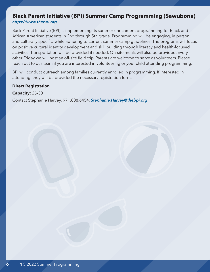### <span id="page-5-0"></span>**Black Parent Initiative (BPI) Summer Camp Programming (Sawubona)** *<https://www.thebpi.org>*

Back Parent Initiative (BPI) is implementing its summer enrichment programming for Black and African American students in 2nd through 5th grade. Programming will be engaging, in person, and culturally specific, while adhering to current summer camp guidelines. The programs will focus on positive cultural identity development and skill building through literacy and health-focused activities. Transportation will be provided if needed. On-site meals will also be provided. Every other Friday we will host an off-site field trip. Parents are welcome to serve as volunteers. Please reach out to our team if you are interested in volunteering or your child attending programming.

BPI will conduct outreach among families currently enrolled in programming. If interested in attending, they will be provided the necessary registration forms.

**Direct Registration Capacity:** 25-30

Contact Stephanie Harvey, 971.808.6454, *[Stephanie.Harvey@thebpi.org](mailto:Stephanie.Harvey%40thebpi.org?subject=)*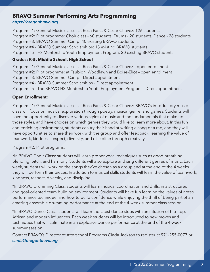### <span id="page-6-0"></span>**BRAVO Summer Performing Arts Programming**

#### *<https://oregonbravo.org>*

Program #1: General Music classes at Rosa Parks & Cesar Chavez: 126 students Program #2: Pilot programs: Choir class - 60 students; Drums - 20 students, Dance - 28 students Program #3: BRAVO Summer Camp: 40 existing BRAVO students Program #4 - BRAVO Summer Scholarships: 15 existing BRAVO students Program #5 - HS Mentorship Youth Employment Program: 20 existing BRAVO students.

#### **Grades: K-5, Middle School, High School**

Program #1: General Music classes at Rosa Parks & Cesar Chavez – open enrollment Program #2: Pilot programs: at Faubion, Woodlawn and Boise-Eliot – open enrollment Program #3: BRAVO Summer Camp – Direct appointment Program #4 - BRAVO Summer Scholarships – Direct appointment Program #5 - The BRAVO HS Mentorship Youth Employment Program – Direct appointment

#### **Open Enrollment:**

Program #1: General Music classes at Rosa Parks & Cesar Chavez: BRAVO's introductory music class will focus on musical exploration through poetry, musical genre, and games. Students will have the opportunity to discover various styles of music and the fundamentals that make up those styles, and have choices on which genres they would like to learn more about. In this fun and enriching environment, students can try their hand at writing a song or a rap, and they will have opportunities to share their work with the group and offer feedback, learning the value of teamwork, kindness, respect, diversity, and discipline through creativity.

Program #2: Pilot programs:

\*In BRAVO Choir Class: students will learn proper vocal techniques such as good breathing, blending, pitch, and harmony. Students will also explore and sing different genres of music. Each week, students will work on the songs they've chosen as a group and at the end of the 4 weeks they will perform their pieces. In addition to musical skills students will learn the value of teamwork, kindness, respect, diversity, and discipline.

\*In BRAVO Drumming Class, students will learn musical coordination and drills, in a structured, and goal-oriented team building environment. Students will have fun learning the values of notes, performance technique, and how to build confidence while enjoying the thrill of being part of an amazing ensemble drumming performance at the end of the 4-week summer class session.

\*In BRAVO Dance Class, students will learn the latest dance steps with an infusion of hip-hop, African and modern influences. Each week students will be introduced to new moves and techniques that will culminate in an explosive Dance performance at the end of the 4-week summer session.

Contact BRAVO's Director of Afterschool Programs Cinda Jackson to register at 971-255-0077 or *[cinda@oregonbravo.org](mailto:cinda%40oregonbravo.org?subject=)*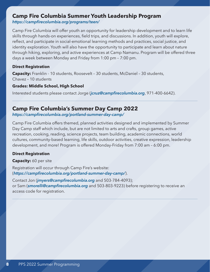### <span id="page-7-0"></span>**Camp Fire Columbia Summer Youth Leadership Program**

*<https://campfirecolumbia.org/programs/teen/>*

Camp Fire Columbia will offer youth an opportunity for leadership development and to learn life skills through hands-on experiences, field trips, and discussions. In addition, youth will explore, reflect, and participate in social-emotional learning methods and practices, social justice, and identity exploration. Youth will also have the opportunity to participate and learn about nature through hiking, exploring, and active experiences at Camp Namanu. Program will be offered three days a week between Monday and Friday from 1:00 pm – 7:00 pm.

#### **Direct Registration**

**Capacity:** Franklin - 10 students, Roosevelt – 30 students, McDaniel – 30 students, Chavez – 10 students

#### **Grades: Middle School, High School**

Interested students please contact Jorge (*[jcruz@campfirecolumbia.org](mailto:%20jcruz%40campfirecolumbia.org?subject=)*, 971-400-6642).

### **Camp Fire Columbia's Summer Day Camp 2022**

*<https://campfirecolumbia.org/portland-summer-day-camp/>*

Camp Fire Columbia offers themed, planned activities designed and implemented by Summer Day Camp staff which include, but are not limited to arts and crafts, group games, active recreation, cooking, reading, science projects, team building, academic connections, world cultures, community-based learning, life skills, outdoor activities, creative expression, leadership development, and more! Program is offered Monday-Friday from 7:00 am – 6:00 pm.

#### **Direct Registration**

#### **Capacity:** 60 per site

Registration will occur through Camp Fire's website: (*<https://campfirecolumbia.org/portland-summer-day-camp/>*).

Contact Jon (*[jmyers@campfirecolumbia.org](mailto:jmyers%40campfirecolumbia.org?subject=)* and 503-784-4093); or Sam (*[smorelli@campfirecolumbia.org](mailto:smorelli%40campfirecolumbia.org?subject=)* and 503-803-9223) before registering to receive an access code for registration.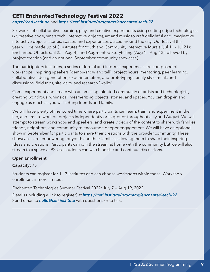### <span id="page-8-0"></span>**CETI Enchanted Technology Festival 2022**

*<https://ceti.institute>*and *<https://ceti.institute/programs/enchanted-tech-22>*

Six weeks of collaborative learning, play, and creative experiments using cutting edge technologies (xr, creative code, smart tech, interactive objects), art and music to craft delightful and imaginative interactive objects, stories, spaces, and experiences placed around the city. Our festival this year will be made up of 3 institutes for Youth and Community Interactive Murals (Jul 11 - Jul 21); Enchanted Objects (Jul 25 - Aug 4); and Augmented Storytelling (Aug 1 - Aug 12) followed by project creation (and an optional September community showcase).

The participatory institutes, a series of formal and informal experiences are composed of workshops, inspiring speakers (demos/show and tell), project hours, mentoring, peer learning, collaborative idea generation, experimentation, and prototyping, family-style meals and discussions, field trips, site visits, and research "walks".

Come experiment and create with an amazing talented community of artists and technologists, creating wondrous, whimsical, mesmerizing objects, stories, and spaces. You can drop-in and engage as much as you wish. Bring friends and family.

We will have plenty of mentored time where participants can learn, train, and experiment in the lab, and time to work on projects independently or in groups throughout July and August. We will attempt to stream workshops and speakers, and create videos of the content to share with families, friends, neighbors, and community to encourage deeper engagement. We will have an optional show in September for participants to share their creations with the broader community. These showcases are empowering for youth and their families, allowing them to share their inspiring ideas and creations. Participants can join the stream at home with the community but we will also stream to a space at PSU so students can watch on site and continue discussions.

#### **Open Enrollment**

#### **Capacity:** 75

Students can register for 1 - 3 institutes and can choose workshops within those. Workshop enrollment is more limited.

Enchanted Technologies Summer Festival 2022: July 7 — Aug 19, 2022

Details (including a link to register) at *<https://ceti.institute/programs/enchanted-tech-22>*. Send email to *[hello@ceti.institute](mailto:hello%40ceti.institute?subject=)* with questions or to talk.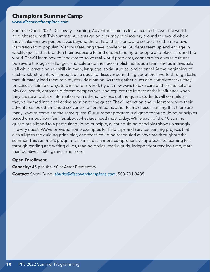### <span id="page-9-0"></span>**Champions Summer Camp**

*[www.discoverchampions.com](http://www.discoverchampions.com)*

Summer Quest 2022: Discovery, Learning, Adventure. Join us for a race to discover the world no flight required! This summer students go on a journey of discovery around the world where they'll take on new perspectives beyond the walls of their home and school. The theme draws inspiration from popular TV shows featuring travel challenges. Students team up and engage in weekly quests that broaden their exposure to and understanding of people and places around the world. They'll learn how to innovate to solve real-world problems, connect with diverse cultures, persevere through challenges, and celebrate their accomplishments as a team and as individuals - all while practicing key skills in math, language, social studies, and science! At the beginning of each week, students will embark on a quest to discover something about their world through tasks that ultimately lead them to a mystery destination. As they gather clues and complete tasks, they'll practice sustainable ways to care for our world, try out new ways to take care of their mental and physical health, embrace different perspectives, and explore the impact of their influence when they create and share information with others. To close out the quest, students will compile all they've learned into a collective solution to the quest. They'll reflect on and celebrate where their adventures took them and discover the different paths other teams chose, learning that there are many ways to complete the same quest. Our summer program is aligned to four guiding principles based on input from families about what kids need most today. While each of the 10 summer quests are aligned to a particular guiding principle, all four guiding principles show up strongly in every quest! We've provided some examples for field trips and service-learning projects that also align to the guiding principles, and these could be scheduled at any time throughout the summer. This summer's program also includes a more comprehensive approach to learning loss through reading and writing clubs, reading circles, read-alouds, independent reading time, math manipulatives, math games, and more.

#### **Open Enrollment**

**Capacity:** 45 per site, 60 at Astor Elementary **Contact:** Sherri Burks, *[sburks@discoverchampions.com](mailto:sburks%40discoverchampions.com?subject=)*, 503-701-3488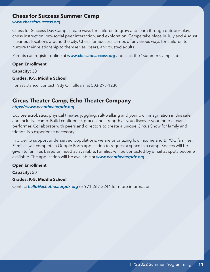### <span id="page-10-0"></span>**Chess for Success Summer Camp**

#### *[www.chessforsuccess.org](http://www.chessforsuccess.org)*

Chess for Success Day Camps create ways for children to grow and learn through outdoor play, chess instruction, pro-social peer interaction, and exploration. Camps take place in July and August in various locations around the city. Chess for Success camps offer various ways for children to nurture their relationship to themselves, peers, and trusted adults.

Parents can register online at *[www.chessforsuccess.org](http://www.chessforsuccess.org)* and click the "Summer Camp" tab.

#### **Open Enrollment Capacity:** 30

#### **Grades: K-5, Middle School**

For assistance, contact Patty O'Hollearn at 503-295-1230

### **Circus Theater Camp, Echo Theater Company**

#### *<https://www.echotheaterpdx.org>*

Explore acrobatics, physical theater, juggling, stilt-walking and your own imagination in this safe and inclusive camp. Build confidence, grace, and strength as you discover your inner circus performer. Collaborate with peers and directors to create a unique Circus Show for family and friends. No experience necessary.

In order to support underserved populations, we are prioritizing low income and BIPOC families. Families will complete a Google Form application to request a space in a camp. Spaces will be given to families based on need as available. Families will be contacted by email as spots become available. The application will be available at *[www.echotheaterpdx.org](http://www.echotheaterpdx.org)*.

#### **Open Enrollment**

**Capacity:** 20

#### **Grades: K-5, Middle School**

Contact *[hello@echotheaterpdx.org](mailto:hello%40echotheaterpdx.org?subject=)* or 971-267-3246 for more information.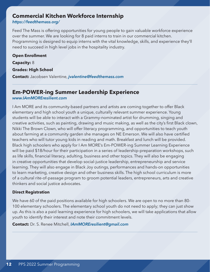### <span id="page-11-0"></span>**Commercial Kitchen Workforce Internship**

#### *<https://feedthemass.org/>*

Feed The Mass is offering opportunities for young people to gain valuable workforce experience over the summer. We are looking for 8 paid interns to train in our commercial kitchen. Programming is designed to equip interns with the vital knowledge, skills, and experience they'll need to succeed in high level jobs in the hospitality industry.

**Open Enrollment Capacity:** 8 **Grades: High School Contact:** Jacobsen Valentine, *[jvalentine@feedthemass.com](mailto:jvalentine%40feedthemass.com?subject=)*

### **Em-POWER-ing Summer Leadership Experience**

#### *[www.IAmMOREresilient.com](http://www.IAmMOREresilient.com)*

I Am MORE and its community-based partners and artists are coming together to offer Black elementary and high school youth a unique, culturally relevant summer experience. Young students will be able to interact with a Grammy-nominated artist for drumming, singing and creative activities, such as painting, drawing and music making, as well as the city's first Black clown, Nikki The Brown Clown, who will offer literacy programming, and opportunities to teach youth about farming at a community garden she manages on NE Emerson. We will also have certified teachers who will tutor young kids in reading and math. Breakfast and lunch will be provided. Black high schoolers who apply for I Am MORE's Em-POWER-ing Summer Learning Experience will be paid \$18/hour for their participation in a series of leadership-preparation workshops, such as life skills, financial literacy, adulting, business and other topics. They will also be engaging in creative opportunities that develop social-justice leadership, entrepreneurship and service learning. They will also engage in Black Joy outings, performances and hands-on opportunities to learn marketing, creative design and other business skills. The high school curriculum is more of a cultural rite-of-passage program to groom potential leaders, entrepreneurs, arts and creative thinkers and social justice advocates.

#### **Direct Registration**

We have 60 of the paid positions available for high schoolers. We are open to no more than 80- 100 elementary schoolers. The elementary school youth do not need to apply; they can just show up. As this is also a paid learning experience for high schoolers, we will take applications that allow youth to identify their interest and note their commitment levels.

**Contact:** Dr. S. Renee Mitchell, *[IAmMOREresilient@gmail.com](mailto:IAmMOREresilient%40gmail.com?subject=)*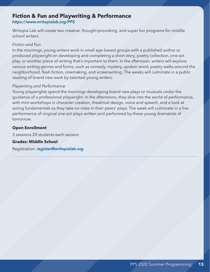### <span id="page-12-0"></span>**Fiction & Fun and Playwriting & Performance**

*<https://www.writopialab.org/PPS>*

Writopia Lab will create two creative, thought-provoking, and super fun programs for middle school writers.

#### *Fiction and Fun*

In the mornings, young writers work in small age-based groups with a published author or produced playwright on developing and completing a short story, poetry collection, one-act play, or another piece of writing that's important to them. In the afternoon, writers will explore various writing genres and forms, such as comedy, mystery, spoken word, poetry walks around the neighborhood, flash fiction, zinemaking, and screenwriting. The weeks will culminate in a public reading of brand new work by talented young writers.

#### *Playwriting and Performance*

Young playwrights spend the mornings developing brand new plays or musicals under the guidance of a professional playwright. In the afternoons, they dive into the world of performance, with mini-workshops in character creation, theatrical design, voice and speech, and a look at acting fundamentals as they take on roles in their peers' plays. The week will culminate in a live performance of original one-act plays written and performed by these young dramatists of tomorrow.

#### **Open Enrollment**

3 sessions 20 students each session

#### **Grades: Middle School**

Registration: *[register@writopialab.org](mailto:register%40writopialab.org?subject=)*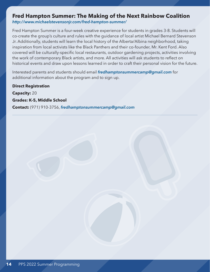# <span id="page-13-0"></span>**Fred Hampton Summer: The Making of the Next Rainbow Coalition**

*<http://www.michaelstevensonjr.com/fred-hampton-summer/>*

Fred Hampton Summer is a four-week creative experience for students in grades 3-8. Students will co-create the group's culture and rules with the guidance of local artist Michael Bernard Stevenson Jr. Additionally, students will learn the local history of the Alberta/Albina neighborhood, taking inspiration from local activists like the Black Panthers and their co-founder, Mr. Kent Ford. Also covered will be culturally-specific local restaurants, outdoor gardening projects, activities involving the work of contemporary Black artists, and more. All activities will ask students to reflect on historical events and draw upon lessons learned in order to craft their personal vision for the future.

Interested parents and students should email *[fredhamptonsummercamp@gmail.com](mailto:fredhamptonsummercamp%40gmail.com?subject=)* for additional information about the program and to sign up.

**Direct Registration Capacity:** 20 **Grades: K-5, Middle School Contact:** (971) 910-3756, *[fredhamptonsummercamp@gmail.com](mailto:fredhamptonsummercamp%40gmail.com?subject=)*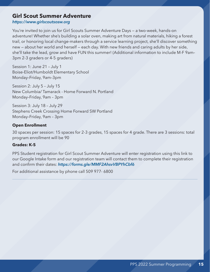### <span id="page-14-0"></span>**Girl Scout Summer Adventure**

*<https://www.girlscoutsosw.org>*

You're invited to join us for Girl Scouts Summer Adventure Days — a two-week, hands-on adventure! Whether she's building a solar oven, making art from natural materials, hiking a forest trail, or honoring local change-makers through a service learning project, she'll discover something new — about her world and herself — each day. With new friends and caring adults by her side, she'll take the lead, grow and have FUN this summer! (Additional information to include M-F 9am– 3pm 2-3 graders or 4-5 graders)

Session 1: June 21 – July 1 Boise-Eliot/Humboldt Elementary School Monday–Friday, 9am–3pm

Session 2: July 5 – July 15 New Columbia/ Tamarack - Home Forward N. Portland Monday–Friday, 9am – 3pm

Session 3: July 18 – July 29 Stephens Creek Crossing Home Forward SW Portland Monday–Friday, 9am – 3pm

#### **Open Enrollment**

30 spaces per session: 15 spaces for 2-3 grades, 15 spaces for 4 grade. There are 3 sessions: total program enrollment will be 90

#### **Grades: K-5**

PPS Student registration for Girl Scout Summer Adventure will enter registration using this link to our Google Intake form and our registration team will contact them to complete their registration and confirm their dates: *<https://forms.gle/MMF2AhsvVBPYhCbf6>*

For additional assistance by phone call 509 977- 6800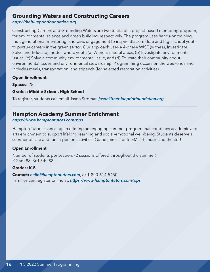### <span id="page-15-0"></span>**Grounding Waters and Constructing Careers**

*<http://theblueprintfoundation.org>*

Constructing Careers and Grounding Waters are two tracks of a project-based mentoring program, for environmental science and green building, respectively. The program uses hands-on training, multigenerational-mentoring, and civic engagement to inspire Black middle and high school youth to pursue careers in the green sector. Our approach uses a 4-phase WISE (witness, Investigate, Solve and Educate) model, where youth (a) Witness natural areas, (b) Investigate environmental issues, (c) Solve a community environmental issue, and (d) Educate their community about environmental issues and environmental stewardship. Programming occurs on the weekends and includes meals, transportation, and stipends (for selected restoration activities).

#### **Open Enrollment**

**Spaces:** 25

#### **Grades: Middle School, High School**

To register, students can email Jason Stroman *[jason@theblueprintfoundation.org](mailto:jason%40theblueprintfoundation.org?subject=)*

### **Hampton Academy Summer Enrichment**

#### *<https://www.hamptontutors.com/pps>*

Hampton Tutors is once again offering an engaging summer program that combines academic and arts enrichment to support lifelong learning and social-emotional well-being. Students deserve a summer of safe and fun in-person activities! Come join us for STEM, art, music and theater!

#### **Open Enrollment**

Number of students per session: (2 sessions offered throughout the summer): K-2nd: 88, 3rd-5th: 88

#### **Grades: K-5**

**Contact:** *[hello@hamptontutors.com](mailto:hello%40hamptontutors.com?subject=)*, or 1-800-614-5450 Families can register online at: *<https://www.hamptontutors.com/pps>*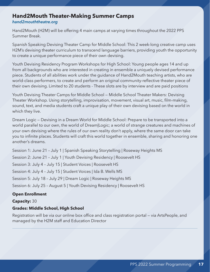### <span id="page-16-0"></span>**Hand2Mouth Theater-Making Summer Camps**

#### *[hand2mouththeatre.org](http://hand2mouththeatre.org)*

Hand2Mouth (H2M) will be offering 4 main camps at varying times throughout the 2022 PPS Summer Break.

Spanish Speaking Devising Theater Camp for Middle School: This 2 week-long creative camp uses H2M's devising theater curriculum to transcend language barriers, providing youth the opportunity to create a unique performance piece of their own devising.

Youth Devising Residency Program Workshops for High School: Young people ages 14 and up from all backgrounds who are interested in creating in ensemble a uniquely devised performance piece. Students of all abilities work under the guidance of Hand2Mouth teaching artists, who are world-class performers, to create and perform an original community-reflective theater piece of their own devising. Limited to 20 students - These slots are by interview and are paid positions

Youth Devising Theater Camps for Middle School — Middle School Theater Makers: Devising Theater Workshop. Using storytelling, improvisation, movement, visual art, music, film-making, sound, text, and media students craft a unique play of their own devising based on the world in which they live.

Dream Logic — Devising in a Dream World for Middle School: Prepare to be transported into a world parallel to our own, the world of Dream|Logic; a world of strange creatures and machines of your own devising where the rules of our own reality don't apply, where the same door can take you to infinite places. Students will craft this world together in ensemble, sharing and honoring one another's dreams.

Session 1: June 21 – July 1 | Spanish Speaking Storytelling | Roseway Heights MS

Session 2: June 21 – July 1 | Youth Devising Residency | Roosevelt HS

Session 3: July 4 – July 15 | Student Voices | Roosevelt HS

Session 4: July 4 – July 15 | Student Voices | Ida B. Wells MS

Session 5: July 18 – July 29 | Dream Logic | Roseway Heights MS

Session 6: July 25 – August 5 | Youth Devising Residency | Roosevelt HS

#### **Open Enrollment**

**Capacity:** 30

#### **Grades: Middle School, High School**

Registration will be via our online box office and class registration portal — via ArtsPeople, and managed by the H2M staff and Education Director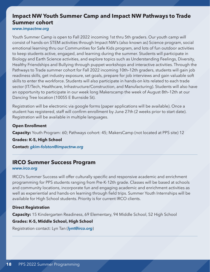### <span id="page-17-0"></span>**Impact NW Youth Summer Camp and Impact NW Pathways to Trade Summer cohort**

*[www.impactnw.org](http://www.impactnw.org)*

Youth Summer Camp is open to Fall 2022 incoming 1st thru 5th graders. Our youth camp will consist of hands-on STEM activities through Impact NW's (also known as) Science program, social emotional learning thru our Communities for Safe Kids program, and lots of fun outdoor activities to keep students active, engaged, and learning during the summer. Students will participate in Biology and Earth Science activities, and explore topics such as Understanding Feelings, Diversity, Healthy Friendships and Bullying through puppet workshops and interactive activities. Through the Pathways to Trade summer cohort for Fall 2022 incoming 10th–12th graders, students will gain job readiness skills, get industry exposure, set goals, prepare for job interviews and gain valuable soft skills to enter the workforce. Students will also participate in hands-on kits related to each trade sector (IT/Tech, Healthcare, Infrastructure/Construction, and Manufacturing). Students will also have an opportunity to participate in our week long Makerscamp the week of August 8th–12th at our Dancing Tree location (10055 E Burnside St).

Registration will be electronic via google forms (paper applications will be available). Once a student has registered, staff will confirm enrollment by June 27th (2 weeks prior to start date). Registration will be available in multiple languages.

#### **Open Enrollment**

**Capacity:** Youth Program: 60; Pathways cohort: 45; MakersCamp (not located at PPS site) 12

**Grades: K-5, High School**

**Contact:** *[gkim-folston@impactnw.org](mailto:gkim-folston%40impactnw.org?subject=)*

### **IRCO Summer Success Program**

#### *[www.irco.org](http://www.irco.org)*

IRCO's Summer Success will offer culturally specific and responsive academic and enrichment programming for PPS students ranging from Pre-K-12th grade. Classes will be based at schools and community locations, incorporate fun and engaging academic and enrichment activities as well as experiential and hands-on learning through field trips. Summer Youth Internships will be available for High School students. Priority is for current IRCO clients.

#### **Direct Registration**

**Capacity:** 15 Kindergarten Readiness, 69 Elementary, 94 Middle School, 52 High School

#### **Grades: K-5, Middle School, High School**

Registration contact: Lyn Tan (*[lynt@irco.org](mailto:lynt%40irco.org?subject=)*)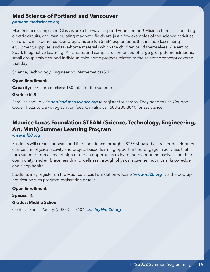### <span id="page-18-0"></span>**Mad Science of Portland and Vancouver**

#### *[portland.madscience.org](http://portland.madscience.org)*

Mad Science Camps and Classes are a fun way to spend your summer! Mixing chemicals, building electric circuits, and manipulating magnetic fields are just a few examples of the science activities children can experience. Our programs are fun STEM explorations that include fascinating equipment, supplies, and take-home materials which the children build themselves! We aim to Spark Imaginative Learning! All classes and camps are comprised of large group demonstrations, small group activities, and individual take home projects related to the scientific concept covered that day.

Science, Technology, Engineering, Mathematics (STEM)

#### **Open Enrollment**

**Capacity:** 15/camp or class; 160 total for the summer

#### **Grades: K–5**

Families should visit *[portland.madscience.org](http://portland.madscience.org)* to register for camps. They need to use Coupon Code PPS22 to waive registration fees. Can also call 503-230-8040 for assistance.

### **Maurice Lucas Foundation STEAM (Science, Technology, Engineering, Art, Math) Summer Learning Program**

*[www.ml20.org](http://www.ml20.org)*

Students will create, innovate and find confidence through a STEAM-based character development curriculum, physical activity and project-based learning opportunities; engage in activities that turn summer from a time of high risk to an opportunity to learn more about themselves and their community; and embrace health and wellness through physical activities, nutritional knowledge and sleep habits.

Students may register on the Maurice Lucas Foundation website (*[www.ml20.org](http://www.ml20.org)*) via the pop-up notification with program registration details.

#### **Open Enrollment**

**Spaces:** 40

#### **Grades: Middle School**

Contact: Sheila Zachry, (503) 310-7604, *[szachry@ml20.org](mailto:szachry%40ml20.org?subject=)*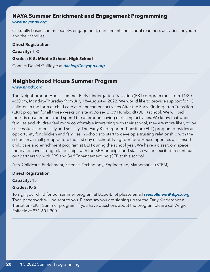### <span id="page-19-0"></span>**NAYA Summer Enrichment and Engagement Programming**

#### *[www.nayapdx.org](http://www.nayapdx.org)*

Culturally based summer safety, engagement, enrichment and school readiness activities for youth and their families.

#### **Direct Registration**

**Capacity:** 100

**Grades: K-5, Middle School, High School**

Contact Daniel Guilfoyle at *[danielg@nayapdx.org](mailto:danielg%40nayapdx.org?subject=)*

### **Neighborhood House Summer Program**

#### *[www.nhpdx.org](http://www.nhpdx.org)*

The Neighborhood House summer Early Kindergarten Transition (EKT) program runs from 11:30– 4:30pm, Monday–Thursday from July 18–August 4, 2022. We would like to provide support for 15 children in the form of child care and enrichment activities After the Early Kindergarten Transition (EKT) program for all three weeks on site at Boise- Eliot/ Humboldt (BEH) school. We will pick the kids up after lunch and spend the afternoon having enriching activities. We know that when families and children feel more comfortable interacting with their school, they are more likely to be successful academically and socially. The Early Kindergarten Transition (EKT) program provides an opportunity for children and families in schools to start to develop a trusting relationship with the school in a small group before the first day of school. Neighborhood House operates a licensed child care and enrichment program at BEH during the school year. We have a classroom space there and have strong relationships with the BEH principal and staff so we are excited to continue our partnership with PPS and Self Enhancement Inc. (SEI) at this school.

Arts, Childcare, Enrichment, Science, Technology, Engineering, Mathematics (STEM)

**Direct Registration**

**Capacity:** 15

#### **Grades: K–5**

To sign your child for our summer program at Bosie-Eliot please email *[saenrollment@nhpdx.org](mailto:saenrollment%40nhpdx.org?subject=)*. Then paperwork will be sent to you. Please say you are signing up for the Early Kindergarten Transition (EKT) Summer program. If you have questions about the program please call Angie Raffaele at 971-601-9001.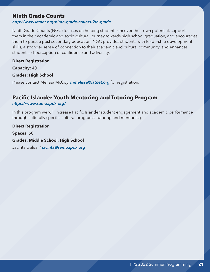### <span id="page-20-0"></span>**Ninth Grade Counts**

#### *<http://www.latnet.org/ninth-grade-counts-9th-grade>*

Ninth Grade Counts (NGC) focuses on helping students uncover their own potential, supports them in their academic and socio-cultural journey towards high school graduation, and encourages them to pursue post secondary education. NGC provides students with leadership development skills, a stronger sense of connection to their academic and cultural community, and enhances student self-perception of confidence and adversity.

#### **Direct Registration**

**Capacity:** 40

#### **Grades: High School**

Please contact Melissa McCoy, *[mmelissa@latnet.org](mailto:mmelissa%40latnet.org?subject=)* for registration.

### **Pacific Islander Youth Mentoring and Tutoring Program**

#### *<https://www.samoapdx.org/>*

In this program we will increase Pacific Islander student engagement and academic performance through culturally specific cultural programs, tutoring and mentorship.

**Direct Registration Spaces:** 50 **Grades: Middle School, High School**

Jacinta Galeai / *[jacinta@samoapdx.org](mailto:%20jacinta%40samoapdx.org?subject=)*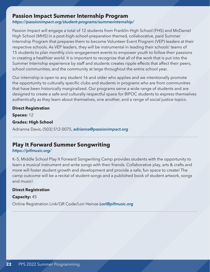### <span id="page-21-0"></span>**Passion Impact Summer Internship Program**

*<https://passionimpact.org/student-programs/summerinternship/>*

Passion Impact will engage a total of 12 students from Franklin High School (FHS) and McDaniel High School (MHS) in a post-high-school-preparation themed, collaborative, paid Summer Internship Program that prepares them to become Volunteer Event Program (VEP) leaders at their respective schools. As VEP leaders, they will be instrumental in leading their schools' teams of 15 students to plan monthly civic-engagement events to empower youth to follow their passions in creating a healthier world. It is important to recognize that all of the work that is put into the Summer Internship experience by staff and students creates ripple effects that affect their peers, school communities, and the community at large throughout the entire school year.

Our internship is open to any student 16 and older who applies and we intentionally promote the opportunity to culturally specific clubs and students in programs who are from communities that have been historically marginalized. Our programs serve a wide range of students and are designed to create a safe and culturally respectful space for BIPOC students to express themselves authentically as they learn about themselves, one another, and a range of social justice topics.

#### **Direct Registration**

**Spaces:** 12

#### **Grades: High School**

Adrianna Davis, (503) 512-0075, *[adrianna@passionimpact.org](mailto:adrianna%40passionimpact.org?subject=)*

### **Play It Forward Summer Songwriting**

#### *<https://pifmusic.org/>*

K–5, Middle School Play It Forward Songwriting Camp provides students with the opportunity to learn a musical instrument and write songs with their friends. Collaborative play, arts & crafts and more will foster student growth and development and provide a safe, fun space to create! The camp outcome will be a recital of student songs and a published book of student artwork, songs and music!

#### **Direct Registration**

#### **Capacity:** 45

Online Registration Link/QR Code/Lori Heinze *[Lori@pifmusic.org](mailto:Lori%40pifmusic.org?subject=)*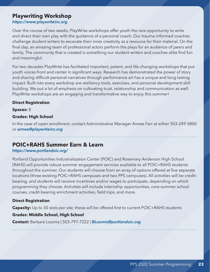### <span id="page-22-0"></span>**Playwriting Workshop**

*<https://www.playwriteinc.org>*

Over the course of two weeks, PlayWrite workshops offer youth the rare opportunity to write and direct their own play with the guidance of a personal coach. Our trauma-informed coaches challenge student-writers to excavate their inner creativity as a resource for their material. On the final day, an amazing team of professional actors perform the plays for an audience of peers and family. The community that is created is something our student-writers and coaches alike find fun and meaningful.

For two decades PlayWrite has facilitated important, potent, and life-changing workshops that put youth voices front and center in significant ways. Research has demonstrated the power of story and sharing difficult personal narratives through performance art has a unique and long-lasting impact. Built into every workshop are resiliency tools, exercises, and personal development skill building. We put a lot of emphasis on cultivating trust, relationship and communication as well. PlayWrite workshops are an engaging and transformative way to enjoy this summer!

#### **Direct Registration**

**Spaces:** 8

#### **Grades: High School**

In the case of open enrollment, contact Administrative Manager Aimee Farr at either 503-249-5800 or *[aimee@playwriteinc.org](mailto:aimee%40playwriteinc.org?subject=)*

### **POIC+RAHS Summer Earn & Learn**

#### *<https://www.portlandoic.org/>*

Portland Opportunities Industrialization Center (POIC) and Rosemary Anderson High School (RAHS) will provide robust summer engagement services available to all POIC+RAHS students throughout the summer. Our students will choose from an array of options offered at five separate locations (three existing POIC+RAHS campuses and two PPS campuses). All activities will be creditbearing, and students will receive incentives and/or wages to participate, depending on which programming they choose. Activities will include internship opportunities, core summer school courses, credit-bearing enrichment activities, field trips, and more.

#### **Direct Registration**

**Capacity:** Up to 30 slots per site; these will be offered first to current POIC+RAHS students

#### **Grades: Middle School, High School**

**Contact:** Barbara Loomis | 503-797-7222 | *[BLoomis@portlandoic.org](mailto:BLoomis%40portlandoic.org?subject=)*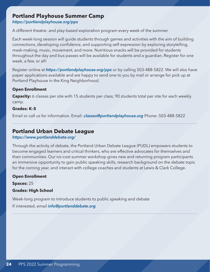### <span id="page-23-0"></span>**Portland Playhouse Summer Camp**

*<https://portlandplayhouse.org/pps>*

A different theatre- and play-based exploration program every week of the summer.

Each week-long session will guide students through games and activities with the aim of building connections, developing confidence, and supporting self-expression by exploring storytelling, mask-making, music, movement, and more. Nutritious snacks will be provided for students throughout the day and bus passes will be available for students and a guardian. Register for one week, a few, or all!

Register online at *<https://portlandplayhouse.org/pps>* or by calling 503-488-5822. We will also have paper applications available and are happy to send one to you by mail or arrange for pick up at Portland Playhouse in the King Neighborhood.

#### **Open Enrollment**

**Capacity:** 6 classes per site with 15 students per class; 90 students total per site for each weekly camp.

#### **Grades: K–5**

Email or call us for information. Email: *[classes@portlandplayhouse.org](mailto:classes%40portlandplayhouse.org?subject=)* Phone: 503-488-5822

### **Portland Urban Debate League**

#### *<https://www.portlanddebate.org/>*

Through the activity of debate, the Portland Urban Debate League (PUDL) empowers students to become engaged learners and critical thinkers, who are effective advocates for themselves and their communities. Our no-cost summer workshop gives new and returning program participants an immersive opportunity to gain public speaking skills, research background on the debate topic for the coming year, and interact with college coaches and students at Lewis & Clark College.

#### **Open Enrollment**

**Spaces:** 25

#### **Grades: High School**

Week-long program to introduce students to public speaking and debate

If interested, email *[info@portlanddebate.org](mailto:info%40portlanddebate.org?subject=)*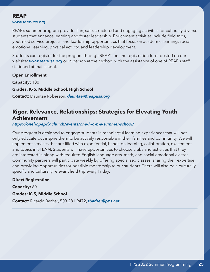### <span id="page-24-0"></span>**REAP**

#### *[www.reapusa.org](http://www.reapusa.org)*

REAP's summer program provides fun, safe, structured and engaging activities for culturally diverse students that enhance learning and foster leadership. Enrichment activities include field trips, youth-led service projects, and leadership opportunities that focus on academic learning, social emotional learning, physical activity, and leadership development.

Students can register for the program through REAP's on-line registration form posted on our website: *[www.reapusa.org](http://www.reapusa.org)* or in person at their school with the assistance of one of REAP's staff stationed at that school.

#### **Open Enrollment**

**Capacity:** 100 **Grades: K–5, Middle School, High School Contact:** Dauntae Roberson, *[dauntaer@reapusa.org](mailto:dauntaer%40reapusa.org?subject=)*

### **Rigor, Relevance, Relationships: Strategies for Elevating Youth Achievement**

*<https://onehopepdx.church/events/one-h-o-p-e-summer-school/>*

Our program is designed to engage students in meaningful learning experiences that will not only educate but inspire them to be actively responsible in their families and community. We will implement services that are filled with experiential, hands-on learning, collaboration, excitement, and topics in STEAM. Students will have opportunities to choose clubs and activities that they are interested in along with required English language arts, math, and social emotional classes. Community partners will participate weekly by offering specialized classes, sharing their expertise, and providing opportunities for possible mentorship to our students. There will also be a culturally specific and culturally relevant field trip every Friday.

#### **Direct Registration**

**Capacity:** 60

#### **Grades: K–5, Middle School**

**Contact:** Ricardo Barber, 503.281.9472, *[rbarber@pps.net](mailto:rbarber%40pps.net?subject=)*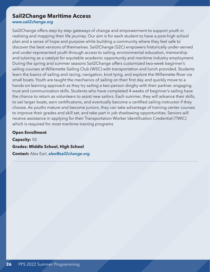### <span id="page-25-0"></span>**Sail2Change Maritime Access**

*[www.sail2change.org](http://www.sail2change.org)*

Sail2Change offers step by step gateways of change and empowerment to support youth in realizing and mapping their life journey. Our aim is for each student to have a post-high school plan and a sense of hope and purpose while building a community where they feel safe to discover the best versions of themselves. Sail2Change (S2C) empowers historically under-served and under-represented youth through access to sailing, environmental education, mentorship and tutoring as a catalyst for equitable academic opportunity and maritime industry employment. During the spring and summer seasons Sail2Change offers customized two-week beginner's sailing courses at Willamette Sailing Club (WSC) with transportation and lunch provided. Students learn the basics of sailing and racing, navigation, knot tying, and explore the Willamette River via small boats. Youth are taught the mechanics of sailing on their first day and quickly move to a hands-on learning approach as they try sailing a two-person dinghy with their partner, engaging trust and communication skills. Students who have completed 4 weeks of beginner's sailing have the chance to return as volunteers to assist new sailors. Each summer, they will advance their skills, to sail larger boats, earn certifications, and eventually become a certified sailing instructor if they choose. As youths mature and become juniors, they can take advantage of training center courses to improve their grades and skill set, and take part in job shadowing opportunities. Seniors will receive assistance in applying for their Transportation Worker Identification Credential (TWIC) which is required for most maritime training programs

#### **Open Enrollment**

**Capacity:** 50 **Grades: Middle School, High School Contact:** Alex Earl, *[alex@sail2change.org](mailto:alex%40sail2change.org?subject=)*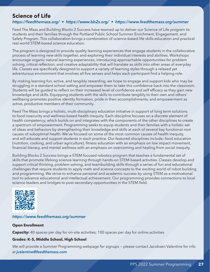### <span id="page-26-0"></span>**Science of Life**

#### *<https://feedthemass.org/> • <https://www.bb2s.org/> • <https://www.feedthemass.org/summer>*

Feed The Mass and Building Blocks 2 Success have teamed up to deliver our Science of Life program to students and their families through the Portland Public School Summer Enrichment, Engagement, and Safety Program. This collaboration brings a combination of science-based life skills education and practical real world STEM-based science education.

The program is designed to provide quality learning experiences that engage students in the collaborative process of learning new skills together, and exploring their individual interests and abilities. Workshops encourage organic natural learning experiences, introducing approachable opportunities for problem solving, critical reflection, and creative adaptability that will translate as skills into other areas of everyday life. Classes are specifically designed to support a variety of learning styles through a relaxed yet adventurous environment that involves all five senses and helps each participant find a helping role.

By making learning fun, active, and tangibly rewarding, we hope to engage and support kids who may be struggling in a standard school setting and empower them to take this confidence back into the classroom. Students will be guided to reflect on their increased level of confidence and self efficacy as they gain new knowledge and skills. Equipping students with the skills to contribute tangibly to their own and others' wellbeing promotes positive identity formation, pride in their accomplishments, and empowerment as active, productive members of their community.

Feed The Mass brings a holistic, multi-disciplinary education initiative in support of long term solutions to food insecurity and wellness-based health inequity. Each discipline focuses on a discrete element of health competency, which builds on and integrates with the components of the other disciplines to create a spectrum of empowerment. Programming seeks to equip students and their families with a holistic set of ideas and behaviors by strengthening their knowledge and skills at each of several key functional root causes of suboptimal health. We've focused on some of the most common causes of health inequity, and will educate and support students in each practice. Our featured disciplines include: food education (nutrition, cooking, and urban agriculture), fitness education with an emphasis on low impact movement, financial literacy, and mental wellness with an emphasis on overcoming and healing from social inequity.

Building Blocks 2 Success brings a STEM focused robotics program that teaches a fundamental set of skills that promote lifelong science learning through hands-on STEM-based activities. Classes develop and support critical thinking, problem solving, and teambuilding skills through a series of fun and educational challenges that require students to apply math and science concepts to the exciting world of robot building and programming. We strive to enhance personal and academic success by using STEM as a motivational tool to advance educational and intellectual achievement. Our programming provides connections to local science leaders and bridges to post-secondary opportunities in the STEM field.



#### *<https://www.feedthemass.org/summer>*

#### **Open Enrollment**

**Capacity:** 40 spaces per day for on-site activities; 100 spaces per day for online activities

#### **Grades: K–5, Middle School, High School**

We will provide a Summer Programming webpage for signups — please contact Jacobsen Valentine for info at *[jvalentine@feedthemass.com](mailto:jvalentine%40feedthemass.com?subject=)*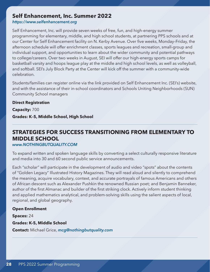### <span id="page-27-0"></span>**Self Enhancement, Inc. Summer 2022**

*<https://www.selfenhancement.org>*

Self Enhancement, Inc. will provide seven weeks of free, fun, and high-energy summer programming for elementary, middle, and high school students, at partnering PPS schools and at our Center for Self Enhancement facility on N. Kerby Avenue. Over five weeks, Monday–Friday, the afternoon schedule will offer enrichment classes, sports leagues and recreation, small-group and individual support, and opportunities to learn about the wider community and potential pathways to college/careers. Over two weeks in August, SEI will offer our high-energy sports camps for basketball varsity and hoops league play at the middle and high school levels, as well as volleyball, and softball. SEI's July Block Party at the Center will kick off the summer with a community-wide celebration.

Students/families can register online via the link provided on Self Enhancement Inc. (SEI's) website, and with the assistance of their in-school coordinators and Schools Uniting Neighborhoods (SUN) Community School managers

**Direct Registration Capacity:** 700 **Grades: K–5, Middle School, High School**

### **STRATEGIES FOR SUCCESS TRANSITIONING FROM ELEMENTARY TO MIDDLE SCHOOL**

*[www.NOTHINGBUTQUALITY.COM](http://www.NOTHINGBUTQUALITY.COM)*

To expand written and spoken language skills by converting a select culturally responsive literature and media into 30 and 60 second public service announcements.

Each "scholar" will participate in the development of audio and video "spots" about the contents of "Golden Legacy" Illustrated History Magazines. They will read aloud and silently to comprehend the meaning, acquire vocabulary, context, and accurate portrayals of famous Americans and others of African descent such as Alexander Pushkin the renowned Russian poet; and Benjamin Banneker, author of the first Almanac and builder of the first striking clock. Actively inform student thinking and applied mathematics analytical, and problem-solving skills using the salient aspects of local, regional, and global geography.

#### **Open Enrollment**

**Spaces:** 24

**Grades: K-5, Middle School**

**Contact:** Michael Grice, *[mcg@nothingbutquality.com](mailto:mcg%40nothingbutquality.com?subject=)*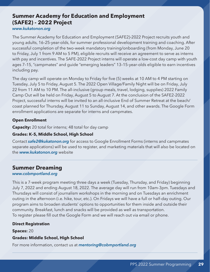### <span id="page-28-0"></span>**Summer Academy for Education and Employment (SAFE2) - 2022 Project**

#### *[www.kukatonon.org](http://www.kukatonon.org)*

The Summer Academy for Education and Employment (SAFE2)-2022 Project recruits youth and young adults, 16–25-year-olds, for summer professional development training and coaching. After successful completion of the two-week mandatory training/onboarding (from Monday, June 20 to Friday, July 1 from 9 AM to 5 PM), eligible recruits will receive an agreement to serve as interns with pay and incentives. The SAFE-2022 Project interns will operate a low-cost day camp with youth ages 7–15, "campmates" and guide "emerging leaders" 13–15-year-olds eligible to earn incentives including pay.

The day camp will operate on Monday to Friday for five (5) weeks at 10 AM to 4 PM starting on Tuesday, July 5 to Friday, August 5. The 2022 Open Village/Family Night will be on Friday, July 22 from 11 AM to 10 PM. The all-inclusive (group meals, travel, lodging, supplies) 2022 Family Camp Out will be held on Friday, August 5 to August 7. At the conclusion of the SAFE2-2022 Project, successful interns will be invited to an all-inclusive End of Summer Retreat at the beach/ coast planned for Thursday, August 11 to Sunday, August 14, and other awards. The Google Form enrollment applications are separate for interns and campmates.

#### **Open Enrollment**

**Capacity:** 20 total for interns; 48 total for day camp

#### **Grades: K–5, Middle School, High School**

Contact *[safe2@kukatonon.org](mailto:safe2%40kukatonon.org?subject=)* for access to Google Enrollment Forms (interns and campmates separate applications) will be used to register, and marketing materials that will also be located on the *[www.kukatonon.org](http://www.kukatonon.org)* website

### **Summer Dreaming**

#### *[www.cobmportland.org](http://www.cobmportland.org)*

This is a 7-week program meeting three days a week (Tuesday, Thursday, and Friday) beginning July 7, 2022 and ending August 18, 2022. The average day will run from 10am-3pm. Tuesdays and Thursdays will consist of journalism workshops in the morning and on Tuesdays an enrichment outing in the afternoon (i.e. hike, tour, etc.). On Fridays we will have a full or half-day outing. Our program aims to broaden students' options to opportunities for them inside and outside their community. Breakfast, lunch and snacks will be provided as well as transportation. To register please fill out the Google Form and we will reach out via email or phone.

#### **Direct Registration**

**Spaces:** 20

#### **Grades: Middle School, High School**

For more information, contact us at *[mentoring@cobmportland.org](mailto:mentoring%40cobmportland.org?subject=)*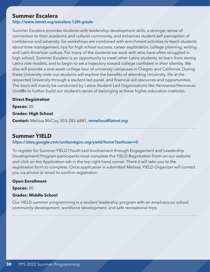### <span id="page-29-0"></span>**Summer Escalera**

#### *<http://www.latnet.org/escalera-12th-grade>*

Summer Escalera provides students with leadership development skills, a stronger sense of connection to their academic and cultural community, and enhances student self-perception of confidence and adversity. Six workshops are combined with enrichment activities to teach students about time management, tips for high school success, career exploration, college planning, writing, and Latin American culture. For many of the students we work with who have often struggled in high school, Summer Escalera is an opportunity to meet other Latinx students, to learn from strong Latinx role models, and to begin to set a trajectory toward college confident in their identity. We also will provide a one-week college tour of university campuses in Oregon and California. During these University visits our students will explore the benefits of attending University, life at the respected University through a student-led panel, and financial aid resources and opportunities. The tours will mainly be conducted by Latino Student-Led Organizations like Hermanos/Hermanas Unid@s to further build our student's sense of belonging at these higher education institutes.

#### **Direct Registration**

**Spaces:** 20

#### **Grades: High School**

**Contact:** Melissa McCoy, 503-283-6881, *[mmelissa@latnet.org](mailto:mmelissa%40latnet.org?subject=)*

### **Summer YIELD**

#### *<https://sites.google.com/uniteoregon.org/yield/home?authuser=0>*

To register for Summer YIELD (Youth-Led Involvement through Engagement and Leadership Development) Program participants must complete the YIELD Registration Form on our website and click on the Application tab in the top right hand corner. There it will take you to the registration form to complete. Once application is submitted Melissa, YIELD Organizer will contact you via phone or email to confirm registration.

#### **Open Enrollment**

**Spaces:** 20

#### **Grades: Middle School**

Our YIELD summer programming is a student leadership program with an emphasis on school community development, workforce development, and safe recreational trips.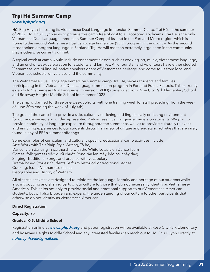### <span id="page-30-0"></span>**Trại Hè Summer Camp**

#### *[www.hphpdx.org](http://www.hphpdx.org)*

Hội Phụ Huynh is hosting its Vietnamese Dual Language Immersion Summer Camp, Trại Hè, in the summer of 2022. Hội Phụ Huynh aims to provide this camp free of cost to all accepted applicants. Trại Hè is the only Vietnamese Dual Language Immersion Summer Camp of its kind in the Portland Metro region, which is home to the second Vietnamese Dual Language Immersion (VDLI) program in the country. As the second most spoken emergent language in Portland, Trại Hè will meet an extremely large need in the community that is otherwise currently unmet.

A typical week at camp would include enrichment classes such as cooking, art, music, Vietnamese language, and an end-of-week celebration for students and families. All of our staff and volunteers have either studied Vietnamese, are bi-lingual, native speakers or are of Vietnamese heritage, and come to us from local and Vietnamese schools, universities and the community.

The Vietnamese Dual Language Immersion summer camp, Trại Hè, serves students and families participating in the Vietnamese Dual Language Immersion program in Portland Public Schools. This currently extends to Vietnamese Dual Language Immersion (VDLI) students at both Rose City Park Elementary School and Roseway Heights Middle School for summer 2022.

The camp is planned for three one-week cohorts, with one training week for staff preceding (from the week of June 20th ending the week of July 4th).

The goal of the camp is to provide a safe, culturally enriching and linguistically enriching environment for our underserved and underrepresented Vietnamese Dual Language Immersion students. We plan to provide continuity of language exposure throughout the summer as well as to provide culturally relevant and enriching experiences to our students through a variety of unique and engaging activities that are rarely found in any of PPS's summer offerings.

Some examples of curriculum and culturally specific, educational camp activities include: Arts: Work with Thư Pháp Style Writing, Tò he, Dance: Lion dancing in partnership with the White Lotus Lion Dance Team Games: folk games (Mèo đuổi chuột, Rồng rắn lên mây, kéo co, nhảy dây) Singing: Traditional Songs and practice with vocabulary Drama Based Stories: Students Perform historical or traditional stories Cooking: Iconic Vietnamese dishes Geography and History of Vietnam

All of these activities are designed to reinforce the language, identity and heritage of our students while also introducing and sharing parts of our culture to those that do not necessarily identify as Vietnamese-American. This helps not only to provide social and emotional support to our Vietnamese-American students, but will also broaden and expand the understanding of our culture to other participants that otherwise do not identify as Vietnamese-American.

#### **Direct Registration**

#### **Capacity:** 90

#### **Grades: K-5, Middle School**

Registration online at *[www.hphpdx.org](http://www.hphpdx.org)* and paper registration will be available at Rose City Park Elementary and Roseway Heights Middle School and any interested families can reach out to Hội Phụ Huynh directly at *[hoiphuynh.vdli@gmail.com](mailto:hoiphuynh.vdli%40gmail.com?subject=)*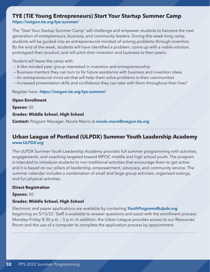## <span id="page-31-0"></span>**TYE (TiE Young Entrepreneurs) Start Your Startup Summer Camp**

*<https://oregon.tie.org/tye-summer/>*

The "Start Your Startup Summer Camp" will challenge and empower students to become the next generation of entrepreneurs, business, and community leaders. During this week-long camp, students will be guided into an entrepreneurial mindset of solving problems through invention. By the end of the week, students will have identified a problem, come up with a viable solution, prototyped their product, and will pitch their invention and business to their peers.

Student will leave the camp with:

- A like-minded peer group interested in invention and entrepreneurship
- Business mentors they can turn to for future assistance with business and invention ideas
- An entrepreneurial mind-set that will help them solve problems in their communities
- Increased presentation skills and confidence they can take with them throughout their lives"

Register here: *<https://oregon.tie.org/tye-summer/>*

#### **Open Enrollment**

**Spaces:** 50

#### **Grades: Middle School, High School**

**Contact:** Program Manager, Nicole Marris at *[nicole.marrs@oregon.tie.org](mailto:nicole.marrs%40oregon.tie.org?subject=)*

### **Urban League of Portland (ULPDX) Summer Youth Leadership Academy** *[www.ULPDX.org](http://www.ULPDX.org)*

The ULPDX Summer Youth Leadership Academy provides full summer programming with activities, engagements, and coaching targeted toward BIPOC middle and high school youth. The program is intended to introduce students to non-traditional activities that encourage them to get active and it is based on our pillars of leadership, empowerment, advocacy, and community service. The summer calendar includes a combination of small and large group activities, organized outings, and fun physical activities.

#### **Direct Registration**

#### **Spaces:** 50

#### **Grades: Middle School, High School**

Electronic and paper applications are available by contacting *[YouthPrograms@ulpdx.org](mailto:YouthPrograms%40ulpdx.org?subject=)* beginning on 5/15/22. Staff is available to answer questions and assist with the enrollment process Monday–Friday 8:30 a.m. – 5 p.m. In addition, the Urban League provides access to our Resources Room and the use of a computer to complete the application process by appointment.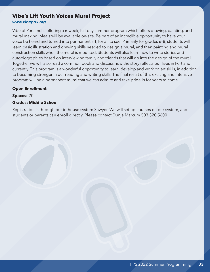## <span id="page-32-0"></span>**Vibe's Lift Youth Voices Mural Project**

#### *[www.vibepdx.org](http://www.vibepdx.org)*

Vibe of Portland is offering a 6-week, full-day summer program which offers drawing, painting, and mural making. Meals will be available on-site. Be part of an incredible opportunity to have your voice be heard and turned into permanent art, for all to see. Primarily for grades 6–8, students will learn basic illustration and drawing skills needed to design a mural, and then painting and mural construction skills when the mural is mounted. Students will also learn how to write stories and autobiographies based on interviewing family and friends that will go into the design of the mural. Together we will also read a common book and discuss how the story reflects our lives in Portland currently. This program is a wonderful opportunity to learn, develop and work on art skills, in addition to becoming stronger in our reading and writing skills. The final result of this exciting and intensive program will be a permanent mural that we can admire and take pride in for years to come.

#### **Open Enrollment**

**Spaces:** 20

#### **Grades: Middle School**

Registration is through our in-house system Sawyer. We will set up courses on our system, and students or parents can enroll directly. Please contact Dunja Marcum 503.320.5600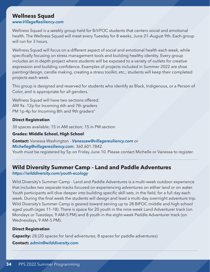### <span id="page-33-0"></span>**Wellness Squad**

#### *[www.VillageResiliency.com](http://www.VillageResiliency.com)*

Wellness Squad is a weekly group held for B/I/POC students that centers social and emotional health. The Wellness Squad will meet every Tuesday for 8 weeks, June 21–August 9th. Each group will run for 3 hours.

Wellness Squad will focus on a different aspect of social and emotional health each week, while specifically focusing on stress management tools and building healthy identity. Every group includes an in-depth project where students will be exposed to a variety of outlets for creative expression and building confidence. Examples of projects included in Summer 2022 are shoe painting/design, candle making, creating a stress toolkit, etc.; students will keep their completed projects each week.

This group is designed and reserved for students who identify as Black, Indigenous, or a Person of Color, and is appropriate for all genders.

Wellness Squad will have two sections offered: AM 9a -12p for Incoming 6th and 7th graders PM 1p-4p for Incoming 8th and 9th graders"

#### **Direct Registration**

30 spaces available; 15 in AM section; 15 in PM section

#### **Grades: Middle School, High School**

**Contact:** Vanessa Washington - *[Vanessaw@villageresiliency.com](mailto:Vanessaw%40villageresiliency.com?subject=)* or *[Michelleg@villageresiliency.com](mailto:Michelleg%40villageresiliency.com?subject=)*; 360.601.7842. Youth must be registered by 5p on Friday June 10. Please contact Michelle or Vanessa to register.

### **Wild Diversity Summer Camp - Land and Paddle Adventures**

*<https://wilddiversity.com/youth-ecology>*

Wild Diversity's Summer Camp - Land and Paddle Adventures is a multi-week outdoor experience that includes two separate tracks focused on experiencing adventures on either land or on water. Youth participants will dive deeper into building specific skill sets, in the field, for a full day each week. During the final week the students will design and lead a multi-day overnight adventure trip. Wild Diversity's Summer Camp is geared toward serving up to 28 BIPOC middle and high school aged youth (ages 11–18). There is space for 20 youth in the nine-week Land Adventurer track (on Mondays or Tuesdays, 9 AM–5 PM) and 8 youth in the eight-week Paddle Adventurer track (on Wednesdays, 9 AM–5 PM).

#### **Direct Registration**

**Capacity:** 28 (20 spaces for land adventures; 8 spaces for paddle adventures)

**Contact:** *[admin@wilddiversity.com](mailto:admin%40wilddiversity.com?subject=)*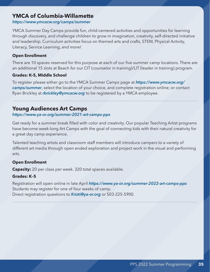### <span id="page-34-0"></span>**YMCA of Columbia-Willamette**

#### *<https://www.ymcacw.org/camps/summer>*

YMCA Summer Day Camps provide fun, child-centered activities and opportunities for learning through discovery, and challenge children to grow in imagination, creativity, self-directed initiative and leadership. Curriculum activities focus on themed arts and crafts, STEM, Physical Activity, Literacy, Service Learning, and more!

#### **Open Enrollment**

There are 10 spaces reserved for this purpose at each of our five summer camp locations. There are an additional 15 slots at Beach for our CIT (counselor in training)/LIT (leader in training) program.

#### **Grades: K-5, Middle School**

To register please either go to the YMCA Summer Camps page at *[https://www.ymcacw.org/](https://www.ymcacw.org/camps/summer) [camps/summer](https://www.ymcacw.org/camps/summer)*, select the location of your choice, and complete registration online; or contact Ryan Brickley at *[rbrickley@ymcacw.org](mailto:rbrickley%40ymcacw.org?subject=)* to be registered by a YMCA employee.

### **Young Audiences Art Camps**

#### *<https://www.ya-or.org/summer-2021-art-camps-pps>*

Get ready for a summer break filled with color and creativity. Our popular Teaching Artist programs have become week-long Art Camps with the goal of connecting kids with their natural creativity for a great day camp experience.

Talented teaching artists and classroom staff members will introduce campers to a variety of different art media through open ended exploration and project work in the visual and performing arts.

#### **Open Enrollment**

**Capacity:** 20 per class per week. 320 total spaces available.

#### **Grades: K–5**

Registration will open online in late April *<https://www.ya-or.org/summer-2022-art-camps-pps>* Students may register for one of four weeks of camp. Direct registration questions to *[Kristi@ya-or.org](mailto:Kristi%40ya-or.org?subject=)* or 503-225-5900.